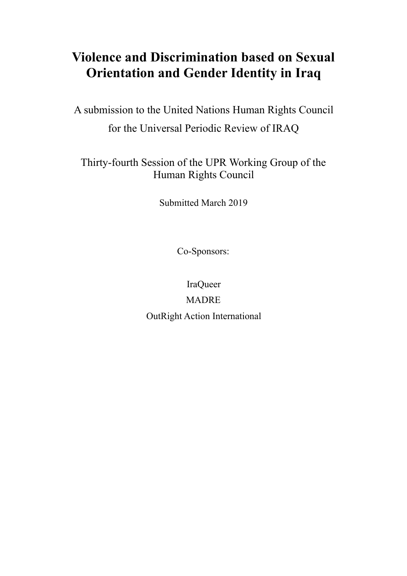# **Violence and Discrimination based on Sexual Orientation and Gender Identity in Iraq**

A submission to the United Nations Human Rights Council for the Universal Periodic Review of IRAQ

Thirty-fourth Session of the UPR Working Group of the Human Rights Council

Submitted March 2019

Co-Sponsors:

IraQueer MADRE OutRight Action International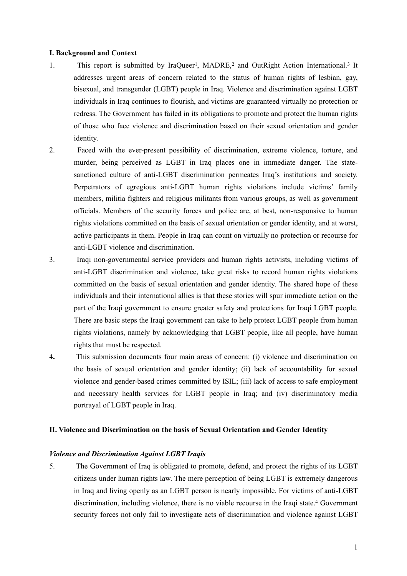#### **I. Background and Context**

- <span id="page-1-2"></span><span id="page-1-1"></span><span id="page-1-0"></span>[1](#page-8-0). This report is submitted by IraQueer<sup>1</sup>, MADRE,<sup>2</sup> and OutRight Action International.<sup>3</sup> It addresses urgent areas of concern related to the status of human rights of lesbian, gay, bisexual, and transgender (LGBT) people in Iraq. Violence and discrimination against LGBT individuals in Iraq continues to flourish, and victims are guaranteed virtually no protection or redress. The Government has failed in its obligations to promote and protect the human rights of those who face violence and discrimination based on their sexual orientation and gender identity.
- 2. Faced with the ever-present possibility of discrimination, extreme violence, torture, and murder, being perceived as LGBT in Iraq places one in immediate danger. The statesanctioned culture of anti-LGBT discrimination permeates Iraq's institutions and society. Perpetrators of egregious anti-LGBT human rights violations include victims' family members, militia fighters and religious militants from various groups, as well as government officials. Members of the security forces and police are, at best, non-responsive to human rights violations committed on the basis of sexual orientation or gender identity, and at worst, active participants in them. People in Iraq can count on virtually no protection or recourse for anti-LGBT violence and discrimination.
- 3. Iraqi non-governmental service providers and human rights activists, including victims of anti-LGBT discrimination and violence, take great risks to record human rights violations committed on the basis of sexual orientation and gender identity. The shared hope of these individuals and their international allies is that these stories will spur immediate action on the part of the Iraqi government to ensure greater safety and protections for Iraqi LGBT people. There are basic steps the Iraqi government can take to help protect LGBT people from human rights violations, namely by acknowledging that LGBT people, like all people, have human rights that must be respected.
- **4.** This submission documents four main areas of concern: (i) violence and discrimination on the basis of sexual orientation and gender identity; (ii) lack of accountability for sexual violence and gender-based crimes committed by ISIL; (iii) lack of access to safe employment and necessary health services for LGBT people in Iraq; and (iv) discriminatory media portrayal of LGBT people in Iraq.

#### **II. Violence and Discrimination on the basis of Sexual Orientation and Gender Identity**

#### *Violence and Discrimination Against LGBT Iraqis*

<span id="page-1-3"></span>5. The Government of Iraq is obligated to promote, defend, and protect the rights of its LGBT citizens under human rights law. The mere perception of being LGBT is extremely dangerous in Iraq and living openly as an LGBT person is nearly impossible. For victims of anti-LGBT discrimination, including violence, there is no viable recourse in the Iraqi state.<sup>[4](#page-8-3)</sup> Government security forces not only fail to investigate acts of discrimination and violence against LGBT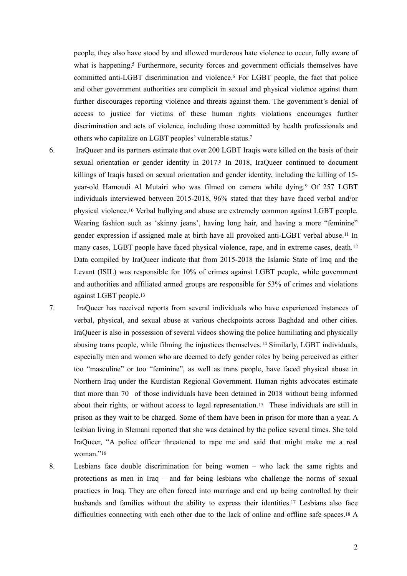<span id="page-2-2"></span><span id="page-2-1"></span><span id="page-2-0"></span>people, they also have stood by and allowed murderous hate violence to occur, fully aware of what is happening[.](#page-8-4)<sup>[5](#page-8-4)</sup> Furthermore, security forces and government officials themselves have committed anti-LGBT discrimination and violence.<sup>[6](#page-8-5)</sup> For LGBT people, the fact that police and other government authorities are complicit in sexual and physical violence against them further discourages reporting violence and threats against them. The government's denial of access to justice for victims of these human rights violations encourages further discrimination and acts of violence, including those committed by health professionals and others who capitalize on LGBT peoples' vulnerable status[.](#page-8-6) [7](#page-8-6)

- <span id="page-2-5"></span><span id="page-2-4"></span><span id="page-2-3"></span>6. IraQueer and its partners estimate that over 200 LGBT Iraqis were killed on the basis of their sexual orientation or gender identity in 2017[.](#page-8-7)[8](#page-8-7) In 2018, IraQueer continued to document killings of Iraqis based on sexual orientation and gender identity, including the killing of 15- year-old Hamoudi Al Mutairi who was filmed on camera while dying.<sup>[9](#page-8-8)</sup> Of 257 LGBT individuals interviewed between 2015-2018, 96% stated that they have faced verbal and/or physical violence[.](#page-8-9) Verbal bullying and abuse are extremely common against LGBT people. [10](#page-8-9) Wearing fashion such as 'skinny jeans', having long hair, and having a more "feminine" gender expression if assigned male at birth have all provoked anti-LGBT verbal abuse.<sup>[11](#page-8-10)</sup> In many cases, LGBT people have faced physical violence, rape, and in extreme cases, death.[12](#page-8-11) Data compiled by IraQueer indicate that from 2015-2018 the Islamic State of Iraq and the Levant (ISIL) was responsible for 10% of crimes against LGBT people, while government and authorities and affiliated armed groups are responsible for 53% of crimes and violations against LGBT people[.13](#page-8-12)
- <span id="page-2-9"></span><span id="page-2-8"></span><span id="page-2-7"></span><span id="page-2-6"></span>7. IraQueer has received reports from several individuals who have experienced instances of verbal, physical, and sexual abuse at various checkpoints across Baghdad and other cities. IraQueer is also in possession of several videos showing the police humiliating and physically abusing trans people, while filming the injustices themselves.<sup>[14](#page-8-13)</sup> Similarly, LGBT individuals, especially men and women who are deemed to defy gender roles by being perceived as either too "masculine" or too "feminine", as well as trans people, have faced physical abuse in Northern Iraq under the Kurdistan Regional Government. Human rights advocates estimate that more than 70 of those individuals have been detained in 2018 without being informed abouttheir rights, or without access to legal representation.<sup>[15](#page-8-14)</sup> These individuals are still in prison as they wait to be charged. Some of them have been in prison for more than a year. A lesbian living in Slemani reported that she was detained by the police several times. She told IraQueer, "A police officer threatened to rape me and said that might make me a real woman<sup>["16](#page-8-15)</sup>
- <span id="page-2-13"></span><span id="page-2-12"></span><span id="page-2-11"></span><span id="page-2-10"></span>8. Lesbians face double discrimination for being women – who lack the same rights and protections as men in Iraq – and for being lesbians who challenge the norms of sexual practices in Iraq. They are often forced into marriage and end up being controlled by their husbands and families without the ability to express their identities.<sup>[17](#page-8-16)</sup> Lesbians also face difficulties connecting with each other due to the lack of online and offline safe spaces.<sup>[18](#page-8-17)</sup>  $\overline{A}$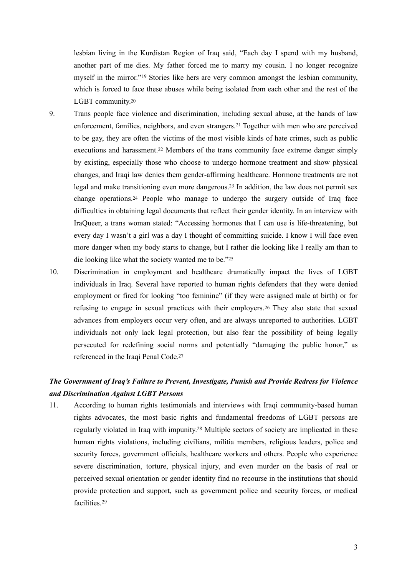<span id="page-3-2"></span><span id="page-3-1"></span><span id="page-3-0"></span>lesbian living in the Kurdistan Region of Iraq said, "Each day I spend with my husband, another part of me dies. My father forced me to marry my cousin. I no longer recognize myselfin the mirror."<sup>[19](#page-8-18)</sup> Stories like hers are very common amongst the lesbian community, which is forced to face these abuses while being isolated from each other and the rest of the LGBT community[.20](#page-8-19)

- <span id="page-3-4"></span><span id="page-3-3"></span>9. Trans people face violence and discrimination, including sexual abuse, at the hands of law enforcement, families, neighbors, and even strangers.<sup>[21](#page-8-20)</sup> Together with men who are perceived to be gay, they are often the victims of the most visible kinds of hate crimes, such as public executions and harassment[.](#page-8-21)<sup>[22](#page-8-21)</sup> Members of the trans community face extreme danger simply by existing, especially those who choose to undergo hormone treatment and show physical changes, and Iraqi law denies them gender-affirming healthcare. Hormone treatments are not legal and make transitioning even more dangerous.<sup>[23](#page-8-22)</sup> In addition, the law does not permit sex change operations.<sup>[24](#page-9-0)</sup> People who manage to undergo the surgery outside of Iraq face difficulties in obtaining legal documents that reflect their gender identity. In an interview with IraQueer, a trans woman stated: "Accessing hormones that I can use is life-threatening, but every day I wasn't a girl was a day I thought of committing suicide. I know I will face even more danger when my body starts to change, but I rather die looking like I really am than to die looking like what the society wanted me to be.["25](#page-9-1)
- <span id="page-3-7"></span><span id="page-3-6"></span><span id="page-3-5"></span>10. Discrimination in employment and healthcare dramatically impact the lives of LGBT individuals in Iraq. Several have reported to human rights defenders that they were denied employment or fired for looking "too feminine" (if they were assigned male at birth) or for refusingto engage in sexual practices with their employers.<sup>[26](#page-9-2)</sup> They also state that sexual advances from employers occur very often, and are always unreported to authorities. LGBT individuals not only lack legal protection, but also fear the possibility of being legally persecuted for redefining social norms and potentially "damaging the public honor," as referenced in the Iraqi Penal Code[. 27](#page-9-3)

## <span id="page-3-8"></span>*The Government of Iraq's Failure to Prevent, Investigate, Punish and Provide Redress for Violence and Discrimination Against LGBT Persons*

<span id="page-3-10"></span><span id="page-3-9"></span>11. According to human rights testimonials and interviews with Iraqi community-based human rights advocates, the most basic rights and fundamental freedoms of LGBT persons are regularly violated in Iraq with impunity[.](#page-9-4)<sup>[28](#page-9-4)</sup> Multiple sectors of society are implicated in these human rights violations, including civilians, militia members, religious leaders, police and security forces, government officials, healthcare workers and others. People who experience severe discrimination, torture, physical injury, and even murder on the basis of real or perceived sexual orientation or gender identity find no recourse in the institutions that should provide protection and support, such as government police and security forces, or medical facilities.[29](#page-9-5)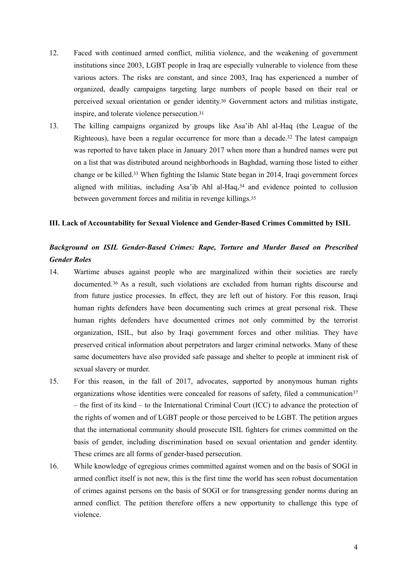- 12. Faced with continued armed conflict, militia violence, and the weakening of government institutions since 2003, LGBT people in Iraq are especially vulnerable to violence from these various actors. The risks are constant, and since 2003, Iraq has experienced a number of organized, deadly campaigns targeting large numbers of people based on their real or perceived sexual orientation or gender identity.<sup>[30](#page-9-6)</sup> Government actors and militias instigate, inspire, and tolerate violence persecution[.31](#page-9-7)
- <span id="page-4-3"></span><span id="page-4-2"></span><span id="page-4-1"></span><span id="page-4-0"></span>13. The killing campaigns organized by groups like Asa'ib Ahl al-Haq (the League of the Righteous), have been a regular occurrence for more than a decade.<sup>[32](#page-9-8)</sup> The latest campaign was reported to have taken place in January 2017 when more than a hundred names were put on a list that was distributed around neighborhoods in Baghdad, warning those listed to either change or be killed.<sup>[33](#page-9-9)</sup> When fighting the Islamic State began in 2014, Iraqi government forces alignedwith militias, including Asa'ib Ahl al-Haq,  $34$  and evidence pointed to collusion between government forces and militia in revenge killings[.35](#page-9-11)

#### <span id="page-4-5"></span><span id="page-4-4"></span>**III. Lack of Accountability for Sexual Violence and Gender-Based Crimes Committed by ISIL**

## *Background on ISIL Gender-Based Crimes: Rape, Torture and Murder Based on Prescribed Gender Roles*

- <span id="page-4-6"></span>14. Wartime abuses against people who are marginalized within their societies are rarely documented.<sup>[36](#page-9-12)</sup> As a result, such violations are excluded from human rights discourse and from future justice processes. In effect, they are left out of history. For this reason, Iraqi human rights defenders have been documenting such crimes at great personal risk. These human rights defenders have documented crimes not only committed by the terrorist organization, ISIL, but also by Iraqi government forces and other militias. They have preserved critical information about perpetrators and larger criminal networks. Many of these same documenters have also provided safe passage and shelter to people at imminent risk of sexual slavery or murder.
- <span id="page-4-7"></span>15. For this reason, in the fall of 2017, advocates, supported by anonymous human rights organizations whose identities were concealed for reasons of safety, filed a communication<sup>[37](#page-9-13)</sup> – the first of its kind – to the International Criminal Court (ICC) to advance the protection of the rights of women and of LGBT people or those perceived to be LGBT. The petition argues that the international community should prosecute ISIL fighters for crimes committed on the basis of gender, including discrimination based on sexual orientation and gender identity. These crimes are all forms of gender-based persecution.
- 16. While knowledge of egregious crimes committed against women and on the basis of SOGI in armed conflict itself is not new, this is the first time the world has seen robust documentation of crimes against persons on the basis of SOGI or for transgressing gender norms during an armed conflict. The petition therefore offers a new opportunity to challenge this type of violence.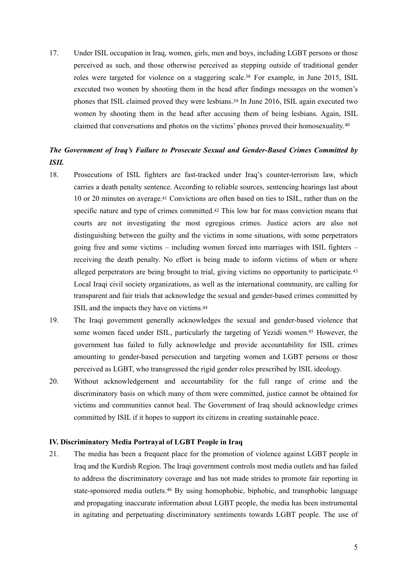<span id="page-5-1"></span><span id="page-5-0"></span>17. Under ISIL occupation in Iraq, women, girls, men and boys, including LGBT persons or those perceived as such, and those otherwise perceived as stepping outside of traditional gender roles were targeted for violence on a staggering scale.<sup>[38](#page-9-14)</sup> For example, in June 2015, ISIL executed two women by shooting them in the head after findings messages on the women's phones that ISIL claimed proved they were lesbians.<sup>[39](#page-9-15)</sup> In June 2016, ISIL again executed two women by shooting them in the head after accusing them of being lesbians. Again, ISIL claimed that conversations and photos on the victims' phones proved their homosexuality.[40](#page-9-16)

### <span id="page-5-2"></span>*The Government of Iraq's Failure to Prosecute Sexual and Gender-Based Crimes Committed by ISIL*

- <span id="page-5-4"></span><span id="page-5-3"></span>18. Prosecutions of ISIL fighters are fast-tracked under Iraq's counter-terrorism law, which carries a death penalty sentence. According to reliable sources, sentencing hearings last about 10 or 20 minutes on average.<sup>[41](#page-9-17)</sup> Convictions are often based on ties to ISIL, rather than on the specific nature and type of crimes committed. $42$  This low bar for mass conviction means that courts are not investigating the most egregious crimes. Justice actors are also not distinguishing between the guilty and the victims in some situations, with some perpetrators going free and some victims – including women forced into marriages with ISIL fighters – receiving the death penalty. No effort is being made to inform victims of when or where alleged perpetrators are being brought to trial, giving victims no opportunity to participate.[43](#page-10-0) Local Iraqi civil society organizations, as well as the international community, are calling for transparent and fair trials that acknowledge the sexual and gender-based crimes committed by ISIL and the impacts they have on victims[. 44](#page-10-1)
- <span id="page-5-7"></span><span id="page-5-6"></span><span id="page-5-5"></span>19. The Iraqi government generally acknowledges the sexual and gender-based violence that some women faced under ISIL, particularly the targeting of Yezidi women.<sup>[45](#page-10-2)</sup> However, the government has failed to fully acknowledge and provide accountability for ISIL crimes amounting to gender-based persecution and targeting women and LGBT persons or those perceived as LGBT, who transgressed the rigid gender roles prescribed by ISIL ideology.
- 20. Without acknowledgement and accountability for the full range of crime and the discriminatory basis on which many of them were committed, justice cannot be obtained for victims and communities cannot heal. The Government of Iraq should acknowledge crimes committed by ISIL if it hopes to support its citizens in creating sustainable peace.

#### **IV. Discriminatory Media Portrayal of LGBT People in Iraq**

<span id="page-5-8"></span>21. The media has been a frequent place for the promotion of violence against LGBT people in Iraq and the Kurdish Region. The Iraqi government controls most media outlets and has failed to address the discriminatory coverage and has not made strides to promote fair reporting in state-sponsored media outlets.<sup>[46](#page-10-3)</sup> By using homophobic, biphobic, and transphobic language and propagating inaccurate information about LGBT people, the media has been instrumental in agitating and perpetuating discriminatory sentiments towards LGBT people. The use of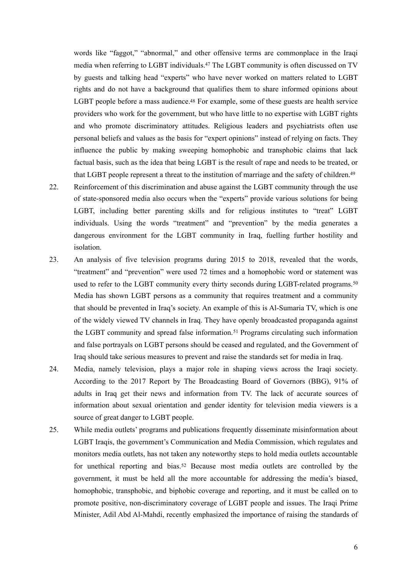<span id="page-6-1"></span><span id="page-6-0"></span>words like "faggot," "abnormal," and other offensive terms are commonplace in the Iraqi media when referring to LGBT individuals[.](#page-10-4)<sup>[47](#page-10-4)</sup> The LGBT community is often discussed on TV by guests and talking head "experts" who have never worked on matters related to LGBT rights and do not have a background that qualifies them to share informed opinions about LGBT people before a mass audience.<sup>[48](#page-10-5)</sup> For example, some of these guests are health service providers who work for the government, but who have little to no expertise with LGBT rights and who promote discriminatory attitudes. Religious leaders and psychiatrists often use personal beliefs and values as the basis for "expert opinions" instead of relying on facts. They influence the public by making sweeping homophobic and transphobic claims that lack factual basis, such as the idea that being LGBT is the result of rape and needs to be treated, or that LGBT people represent a threat to the institution of marriage and the safety of children[.49](#page-10-6)

- <span id="page-6-2"></span>22. Reinforcement of this discrimination and abuse against the LGBT community through the use of state-sponsored media also occurs when the "experts" provide various solutions for being LGBT, including better parenting skills and for religious institutes to "treat" LGBT individuals. Using the words "treatment" and "prevention" by the media generates a dangerous environment for the LGBT community in Iraq, fuelling further hostility and isolation.
- <span id="page-6-3"></span>23. An analysis of five television programs during 2015 to 2018, revealed that the words, "treatment" and "prevention" were used 72 times and a homophobic word or statement was used to refer to the LGBT community every thirty seconds during LGBT-related programs.<sup>[50](#page-10-7)</sup> Media has shown LGBT persons as a community that requires treatment and a community that should be prevented in Iraq's society. An example of this is Al-Sumaria TV, which is one of the widely viewed TV channels in Iraq. They have openly broadcasted propaganda against theLGBT community and spread false information.<sup>[51](#page-10-8)</sup> Programs circulating such information and false portrayals on LGBT persons should be ceased and regulated, and the Government of Iraq should take serious measures to prevent and raise the standards set for media in Iraq.
- <span id="page-6-4"></span>24. Media, namely television, plays a major role in shaping views across the Iraqi society. According to the 2017 Report by The Broadcasting Board of Governors (BBG), 91% of adults in Iraq get their news and information from TV. The lack of accurate sources of information about sexual orientation and gender identity for television media viewers is a source of great danger to LGBT people.
- <span id="page-6-5"></span>25. While media outlets' programs and publications frequently disseminate misinformation about LGBT Iraqis, the government's Communication and Media Commission, which regulates and monitors media outlets, has not taken any noteworthy steps to hold media outlets accountable for unethical reporting and bias.<sup>[52](#page-10-9)</sup> Because most media outlets are controlled by the government, it must be held all the more accountable for addressing the media's biased, homophobic, transphobic, and biphobic coverage and reporting, and it must be called on to promote positive, non-discriminatory coverage of LGBT people and issues. The Iraqi Prime Minister, Adil Abd Al-Mahdi, recently emphasized the importance of raising the standards of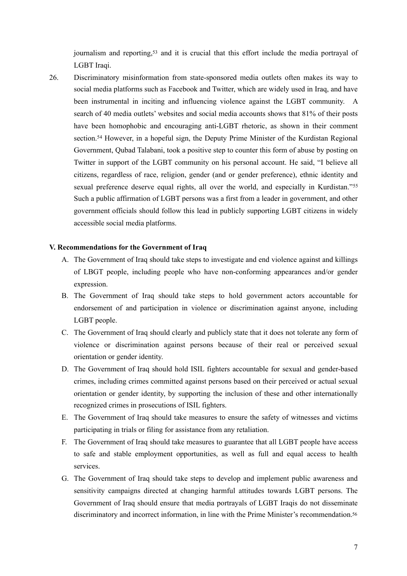<span id="page-7-0"></span>journalism and reporting[,](#page-10-10)<sup>[53](#page-10-10)</sup> and it is crucial that this effort include the media portrayal of LGBT Iraqi.

<span id="page-7-1"></span>26. Discriminatory misinformation from state-sponsored media outlets often makes its way to social media platforms such as Facebook and Twitter, which are widely used in Iraq, and have been instrumental in inciting and influencing violence against the LGBT community. A search of 40 media outlets' websites and social media accounts shows that 81% of their posts have been homophobic and encouraging anti-LGBT rhetoric, as shown in their comment section.<sup>[54](#page-10-11)</sup> However, in a hopeful sign, the Deputy Prime Minister of the Kurdistan Regional Government, Qubad Talabani, took a positive step to counter this form of abuse by posting on Twitter in support of the LGBT community on his personal account. He said, "I believe all citizens, regardless of race, religion, gender (and or gender preference), ethnic identity and sexual preference deserve equal rights, all over the world, and especially in Kurdistan."<sup>[55](#page-10-12)</sup> Such a public affirmation of LGBT persons was a first from a leader in government, and other government officials should follow this lead in publicly supporting LGBT citizens in widely accessible social media platforms.

#### **V. Recommendations for the Government of Iraq**

- <span id="page-7-2"></span>A. The Government of Iraq should take steps to investigate and end violence against and killings of LBGT people, including people who have non-conforming appearances and/or gender expression.
- B. The Government of Iraq should take steps to hold government actors accountable for endorsement of and participation in violence or discrimination against anyone, including LGBT people.
- C. The Government of Iraq should clearly and publicly state that it does not tolerate any form of violence or discrimination against persons because of their real or perceived sexual orientation or gender identity.
- D. The Government of Iraq should hold ISIL fighters accountable for sexual and gender-based crimes, including crimes committed against persons based on their perceived or actual sexual orientation or gender identity, by supporting the inclusion of these and other internationally recognized crimes in prosecutions of ISIL fighters.
- E. The Government of Iraq should take measures to ensure the safety of witnesses and victims participating in trials or filing for assistance from any retaliation.
- F. The Government of Iraq should take measures to guarantee that all LGBT people have access to safe and stable employment opportunities, as well as full and equal access to health services.
- <span id="page-7-3"></span>G. The Government of Iraq should take steps to develop and implement public awareness and sensitivity campaigns directed at changing harmful attitudes towards LGBT persons. The Government of Iraq should ensure that media portrayals of LGBT Iraqis do not disseminate discriminatory and incorrect information, in line with the Prime Minister's recommendation.<sup>56</sup>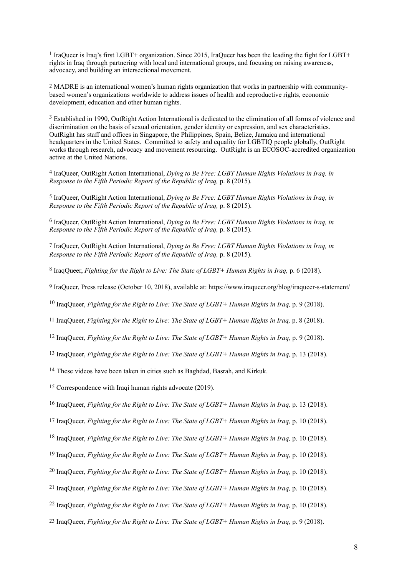<span id="page-8-0"></span><sup>[1](#page-1-0)</sup> IraQueer is Iraq's first LGBT+ organization. Since 2015, IraQueer has been the leading the fight for LGBT+ rights in Iraq through partnering with local and international groups, and focusing on raising awareness, advocacy, and building an intersectional movement.

<span id="page-8-1"></span>[2](#page-1-1) MADRE is an international women's human rights organization that works in partnership with communitybased women's organizations worldwide to address issues of health and reproductive rights, economic development, education and other human rights.

<span id="page-8-2"></span><sup>[3](#page-1-2)</sup> Established in 1990, OutRight Action International is dedicated to the elimination of all forms of violence and discrimination on the basis of sexual orientation, gender identity or expression, and sex characteristics. OutRight has staff and offices in Singapore, the Philippines, Spain, Belize, Jamaica and international headquarters in the United States. Committed to safety and equality for LGBTIQ people globally, OutRight works through research, advocacy and movement resourcing. OutRight is an ECOSOC-accredited organization active at the United Nations.

<span id="page-8-3"></span><sup>[4](#page-1-3)</sup> IraOueer, OutRight Action International, *Dying to Be Free: LGBT Human Rights Violations in Iraq, in Response to the Fifth Periodic Report of the Republic of Iraq,* p. 8 (2015).

<span id="page-8-4"></span>[5](#page-2-0) IraQueer, OutRight Action International, *Dying to Be Free: LGBT Human Rights Violations in Iraq, in Response to the Fifth Periodic Report of the Republic of Iraq,* p. 8 (2015).

<span id="page-8-5"></span><sup>[6](#page-2-1)</sup> IraQueer, OutRight Action International, *Dying to Be Free: LGBT Human Rights Violations in Iraq, in Response to the Fifth Periodic Report of the Republic of Iraq,* p. 8 (2015).

<span id="page-8-6"></span>[7](#page-2-2) IraQueer, OutRight Action International, *Dying to Be Free: LGBT Human Rights Violations in Iraq, in Response to the Fifth Periodic Report of the Republic of Iraq,* p. 8 (2015).

<span id="page-8-7"></span><sup>[8](#page-2-3)</sup> IraqQueer, *Fighting for the Right to Live: The State of LGBT+ Human Rights in Iraq, p. 6 (2018).* 

<span id="page-8-8"></span>[9](#page-2-4) IraQueer, Press release (October 10, 2018), available at: https://www.iraqueer.org/blog/iraqueer-s-statement/

<span id="page-8-9"></span><sup>[10](#page-2-5)</sup> IraqQueer, *Fighting for the Right to Live: The State of LGBT+ Human Rights in Iraq, p.* 9 (2018).

<span id="page-8-10"></span>[11](#page-2-6) IraqQueer, *Fighting for the Right to Live: The State of LGBT+ Human Rights in Iraq,* p. 8 (2018).

<span id="page-8-11"></span><sup>[12](#page-2-7)</sup> IraqQueer, *Fighting for the Right to Live: The State of LGBT+ Human Rights in Iraq, p.* 9 (2018).

<span id="page-8-12"></span>[13](#page-2-8) IraqQueer, *Fighting for the Right to Live: The State of LGBT+ Human Rights in Iraq,* p. 13 (2018).

<span id="page-8-13"></span><sup>[14](#page-2-9)</sup> These videos have been taken in cities such as Baghdad, Basrah, and Kirkuk.

<span id="page-8-14"></span>[15](#page-2-10) Correspondence with Iraqi human rights advocate (2019).

<span id="page-8-15"></span><sup>[16](#page-2-11)</sup> IraqQueer, *Fighting for the Right to Live: The State of LGBT+ Human Rights in Iraq, p.* 13 (2018).

<span id="page-8-16"></span>[17](#page-2-12) IraqQueer, *Fighting for the Right to Live: The State of LGBT+ Human Rights in Iraq,* p. 10 (2018).

<span id="page-8-17"></span><sup>[18](#page-2-13)</sup> IraqQueer, *Fighting for the Right to Live: The State of LGBT+ Human Rights in Iraq, p.* 10 (2018).

<span id="page-8-18"></span>[19](#page-3-0) IraqQueer, *Fighting for the Right to Live: The State of LGBT+ Human Rights in Iraq,* p. 10 (2018).

<span id="page-8-19"></span><sup>[20](#page-3-1)</sup> IraqQueer, *Fighting for the Right to Live: The State of LGBT+ Human Rights in Iraq, p.* 10 (2018).

<span id="page-8-20"></span>[21](#page-3-2) IraqQueer, *Fighting for the Right to Live: The State of LGBT+ Human Rights in Iraq,* p. 10 (2018).

<span id="page-8-21"></span><sup>[22](#page-3-3)</sup> IraqQueer, *Fighting for the Right to Live: The State of LGBT+ Human Rights in Iraq, p.* 10 (2018).

<span id="page-8-22"></span>[23](#page-3-4) IraqQueer, *Fighting for the Right to Live: The State of LGBT+ Human Rights in Iraq,* p. 9 (2018).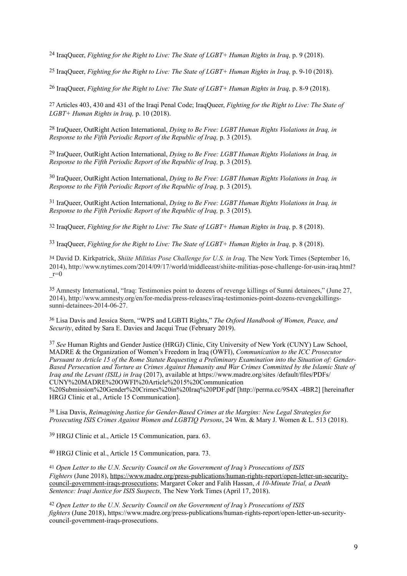<span id="page-9-0"></span><sup>[24](#page-3-5)</sup> IraqQueer, *Fighting for the Right to Live: The State of LGBT+ Human Rights in Iraq, p.* 9 (2018).

<span id="page-9-1"></span>[25](#page-3-6) IraqQueer, *Fighting for the Right to Live: The State of LGBT+ Human Rights in Iraq,* p. 9-10 (2018).

<span id="page-9-2"></span><sup>[26](#page-3-7)</sup> IraqQueer, *Fighting for the Right to Live: The State of LGBT+ Human Rights in Iraq, p.* 8-9 (2018).

<span id="page-9-3"></span>[27](#page-3-8) Articles 403, 430 and 431 of the Iraqi Penal Code; IraqQueer, *Fighting for the Right to Live: The State of LGBT+ Human Rights in Iraq,* p. 10 (2018).

<span id="page-9-4"></span><sup>[28](#page-3-9)</sup> IraQueer, OutRight Action International, *Dying to Be Free: LGBT Human Rights Violations in Iraq, in Response to the Fifth Periodic Report of the Republic of Iraq,* p. 3 (2015).

<span id="page-9-5"></span><sup>[29](#page-3-10)</sup> IraQueer, OutRight Action International, *Dying to Be Free: LGBT Human Rights Violations in Irag, in Response to the Fifth Periodic Report of the Republic of Iraq,* p. 3 (2015).

<span id="page-9-6"></span><sup>[30](#page-4-0)</sup> IraQueer, OutRight Action International, *Dying to Be Free: LGBT Human Rights Violations in Iraq, in Response to the Fifth Periodic Report of the Republic of Iraq,* p. 3 (2015).

<span id="page-9-7"></span><sup>[31](#page-4-1)</sup> IraQueer, OutRight Action International, *Dying to Be Free: LGBT Human Rights Violations in Iraq, in Response to the Fifth Periodic Report of the Republic of Iraq,* p. 3 (2015).

<span id="page-9-8"></span>[32](#page-4-2) IraqQueer, *Fighting for the Right to Live: The State of LGBT+ Human Rights in Iraq,* p. 8 (2018).

<span id="page-9-9"></span><sup>[33](#page-4-3)</sup> IraqQueer, *Fighting for the Right to Live: The State of LGBT+ Human Rights in Iraq, p.* 8 (2018).

<span id="page-9-10"></span>David D. Kirkpatrick, *Shiite Militias Pose Challenge for U.S. in Iraq,* The New York Times (September 16, [34](#page-4-4) 2014), http://www.nytimes.com/2014/09/17/world/middleeast/shiite-militias-pose-challenge-for-usin-iraq.html? \_r=0

<span id="page-9-11"></span>Amnesty International, "Iraq: Testimonies point to dozens of revenge killings of Sunni detainees," (June 27, [35](#page-4-5) 2014), http://www.amnesty.org/en/for-media/press-releases/iraq-testimonies-point-dozens-revengekillingssunni-detainees-2014-06-27.

<span id="page-9-12"></span> Lisa Davis and Jessica Stern, "WPS and LGBTI Rights," *The Oxford Handbook of Women, Peace, and* [36](#page-4-6) *Security*, edited by Sara E. Davies and Jacqui True (February 2019).

<span id="page-9-13"></span>*See* Human Rights and Gender Justice (HRGJ) Clinic, City University of New York (CUNY) Law School, [37](#page-4-7) MADRE & the Organization of Women's Freedom in Iraq (OWFI), *Communication to the ICC Prosecutor Pursuant to Article 15 of the Rome Statute Requesting a Preliminary Examination into the Situation of: Gender-Based Persecution and Torture as Crimes Against Humanity and War Crimes Committed by the Islamic State of Iraq and the Levant (ISIL) in Iraq* (2017), available at https://www.madre.org/sites /default/files/PDFs/ CUNY%20MADRE%20OWFI%20Article%2015%20Communication

%20Submission%20Gender%20Crimes%20in%20Iraq%20PDF.pdf [http://perma.cc/9S4X -4BR2] [hereinafter HRGJ Clinic et al., Article 15 Communication].

<span id="page-9-14"></span> Lisa Davis, *Reimagining Justice for Gender-Based Crimes at the Margins: New Legal Strategies for* [38](#page-5-0) *Prosecuting ISIS Crimes Against Women and LGBTIQ Persons*, 24 Wm. & Mary J. Women & L. 513 (2018).

<span id="page-9-15"></span><sup>[39](#page-5-1)</sup> HRGJ Clinic et al., Article 15 Communication, para. 63.

<span id="page-9-16"></span><sup>[40](#page-5-2)</sup> HRGJ Clinic et al., Article 15 Communication, para. 73.

<span id="page-9-17"></span><sup>[41](#page-5-3)</sup> Open Letter to the U.N. Security Council on the Government of Iraq's Prosecutions of ISIS *Fighters* (June 2018), [https://www.madre.org/press-publications/human-rights-report/open-letter-un-security](https://www.madre.org/press-publications/human-rights-report/open-letter-un-security-council-government-iraqs-prosecutions)[council-government-iraqs-prosecutions; Margaret Coker and Falih Hassan,](https://www.madre.org/press-publications/human-rights-report/open-letter-un-security-council-government-iraqs-prosecutions) *A 10-Minute Trial, a Death Sentence: Iraqi Justice for ISIS Suspects,* The New York Times (April 17, 2018).

<span id="page-9-18"></span><sup>[42](#page-5-4)</sup> Open Letter to the U.N. Security Council on the Government of Iraa's Prosecutions of ISIS *fighters* (June 2018), https://www.madre.org/press-publications/human-rights-report/open-letter-un-securitycouncil-government-iraqs-prosecutions.